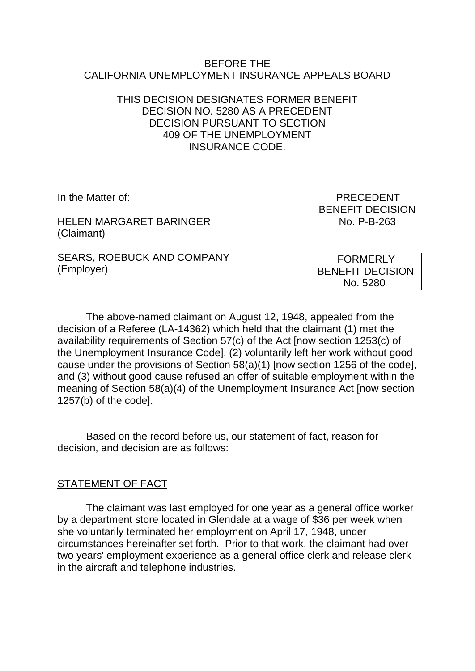#### BEFORE THE CALIFORNIA UNEMPLOYMENT INSURANCE APPEALS BOARD

### THIS DECISION DESIGNATES FORMER BENEFIT DECISION NO. 5280 AS A PRECEDENT DECISION PURSUANT TO SECTION 409 OF THE UNEMPLOYMENT INSURANCE CODE.

HELEN MARGARET BARINGER No. P-B-263 (Claimant)

SEARS, ROEBUCK AND COMPANY (Employer)

In the Matter of: **PRECEDENT** BENEFIT DECISION

> FORMERLY BENEFIT DECISION No. 5280

The above-named claimant on August 12, 1948, appealed from the decision of a Referee (LA-14362) which held that the claimant (1) met the availability requirements of Section 57(c) of the Act [now section 1253(c) of the Unemployment Insurance Code], (2) voluntarily left her work without good cause under the provisions of Section 58(a)(1) [now section 1256 of the code], and (3) without good cause refused an offer of suitable employment within the meaning of Section 58(a)(4) of the Unemployment Insurance Act [now section 1257(b) of the code].

Based on the record before us, our statement of fact, reason for decision, and decision are as follows:

# STATEMENT OF FACT

The claimant was last employed for one year as a general office worker by a department store located in Glendale at a wage of \$36 per week when she voluntarily terminated her employment on April 17, 1948, under circumstances hereinafter set forth. Prior to that work, the claimant had over two years' employment experience as a general office clerk and release clerk in the aircraft and telephone industries.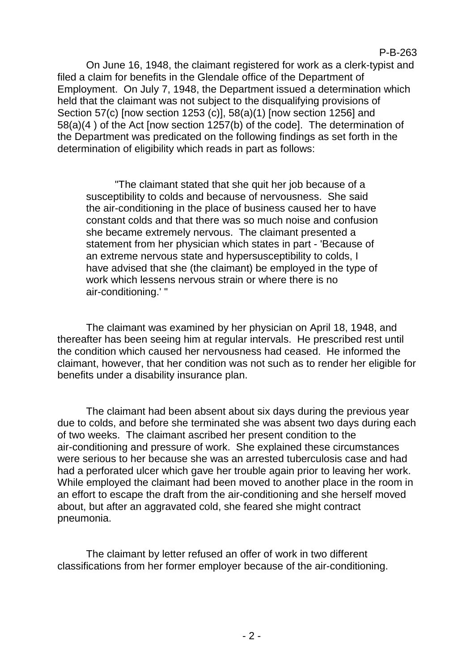#### P-B-263

On June 16, 1948, the claimant registered for work as a clerk-typist and filed a claim for benefits in the Glendale office of the Department of Employment. On July 7, 1948, the Department issued a determination which held that the claimant was not subject to the disqualifying provisions of Section 57(c) [now section 1253 (c)], 58(a)(1) [now section 1256] and 58(a)(4 ) of the Act [now section 1257(b) of the code]. The determination of the Department was predicated on the following findings as set forth in the determination of eligibility which reads in part as follows:

"The claimant stated that she quit her job because of a susceptibility to colds and because of nervousness. She said the air-conditioning in the place of business caused her to have constant colds and that there was so much noise and confusion she became extremely nervous. The claimant presented a statement from her physician which states in part - 'Because of an extreme nervous state and hypersusceptibility to colds, I have advised that she (the claimant) be employed in the type of work which lessens nervous strain or where there is no air-conditioning.' "

The claimant was examined by her physician on April 18, 1948, and thereafter has been seeing him at regular intervals. He prescribed rest until the condition which caused her nervousness had ceased. He informed the claimant, however, that her condition was not such as to render her eligible for benefits under a disability insurance plan.

The claimant had been absent about six days during the previous year due to colds, and before she terminated she was absent two days during each of two weeks. The claimant ascribed her present condition to the air-conditioning and pressure of work. She explained these circumstances were serious to her because she was an arrested tuberculosis case and had had a perforated ulcer which gave her trouble again prior to leaving her work. While employed the claimant had been moved to another place in the room in an effort to escape the draft from the air-conditioning and she herself moved about, but after an aggravated cold, she feared she might contract pneumonia.

The claimant by letter refused an offer of work in two different classifications from her former employer because of the air-conditioning.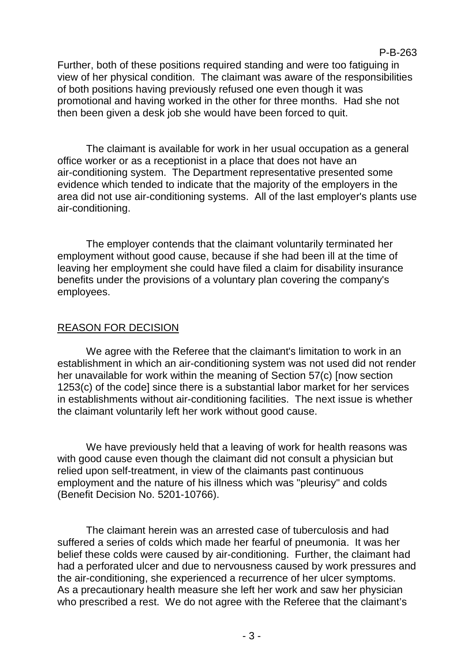Further, both of these positions required standing and were too fatiguing in view of her physical condition. The claimant was aware of the responsibilities of both positions having previously refused one even though it was promotional and having worked in the other for three months. Had she not then been given a desk job she would have been forced to quit.

The claimant is available for work in her usual occupation as a general office worker or as a receptionist in a place that does not have an air-conditioning system. The Department representative presented some evidence which tended to indicate that the majority of the employers in the area did not use air-conditioning systems. All of the last employer's plants use air-conditioning.

The employer contends that the claimant voluntarily terminated her employment without good cause, because if she had been ill at the time of leaving her employment she could have filed a claim for disability insurance benefits under the provisions of a voluntary plan covering the company's employees.

# REASON FOR DECISION

We agree with the Referee that the claimant's limitation to work in an establishment in which an air-conditioning system was not used did not render her unavailable for work within the meaning of Section 57(c) [now section 1253(c) of the code] since there is a substantial labor market for her services in establishments without air-conditioning facilities. The next issue is whether the claimant voluntarily left her work without good cause.

We have previously held that a leaving of work for health reasons was with good cause even though the claimant did not consult a physician but relied upon self-treatment, in view of the claimants past continuous employment and the nature of his illness which was "pleurisy" and colds (Benefit Decision No. 5201-10766).

The claimant herein was an arrested case of tuberculosis and had suffered a series of colds which made her fearful of pneumonia. It was her belief these colds were caused by air-conditioning. Further, the claimant had had a perforated ulcer and due to nervousness caused by work pressures and the air-conditioning, she experienced a recurrence of her ulcer symptoms. As a precautionary health measure she left her work and saw her physician who prescribed a rest. We do not agree with the Referee that the claimant's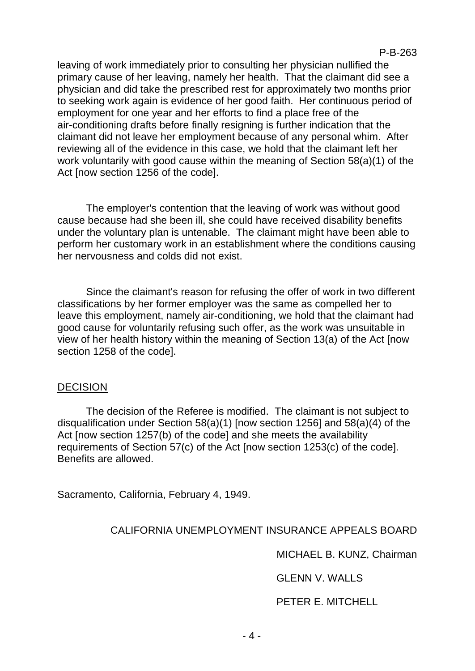leaving of work immediately prior to consulting her physician nullified the primary cause of her leaving, namely her health. That the claimant did see a physician and did take the prescribed rest for approximately two months prior to seeking work again is evidence of her good faith. Her continuous period of employment for one year and her efforts to find a place free of the air-conditioning drafts before finally resigning is further indication that the claimant did not leave her employment because of any personal whim. After reviewing all of the evidence in this case, we hold that the claimant left her work voluntarily with good cause within the meaning of Section 58(a)(1) of the Act [now section 1256 of the code].

The employer's contention that the leaving of work was without good cause because had she been ill, she could have received disability benefits under the voluntary plan is untenable. The claimant might have been able to perform her customary work in an establishment where the conditions causing her nervousness and colds did not exist.

Since the claimant's reason for refusing the offer of work in two different classifications by her former employer was the same as compelled her to leave this employment, namely air-conditioning, we hold that the claimant had good cause for voluntarily refusing such offer, as the work was unsuitable in view of her health history within the meaning of Section 13(a) of the Act [now section 1258 of the code].

#### DECISION

The decision of the Referee is modified. The claimant is not subject to disqualification under Section 58(a)(1) [now section 1256] and 58(a)(4) of the Act [now section 1257(b) of the code] and she meets the availability requirements of Section 57(c) of the Act [now section 1253(c) of the code]. Benefits are allowed.

Sacramento, California, February 4, 1949.

#### CALIFORNIA UNEMPLOYMENT INSURANCE APPEALS BOARD

MICHAEL B. KUNZ, Chairman

GLENN V. WALLS

PETER E. MITCHELL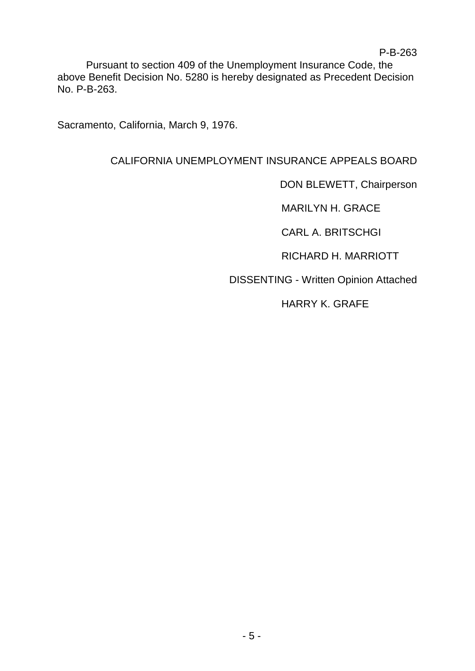Pursuant to section 409 of the Unemployment Insurance Code, the above Benefit Decision No. 5280 is hereby designated as Precedent Decision No. P-B-263.

Sacramento, California, March 9, 1976.

# CALIFORNIA UNEMPLOYMENT INSURANCE APPEALS BOARD

DON BLEWETT, Chairperson

MARILYN H. GRACE

CARL A. BRITSCHGI

RICHARD H. MARRIOTT

DISSENTING - Written Opinion Attached

HARRY K. GRAFE